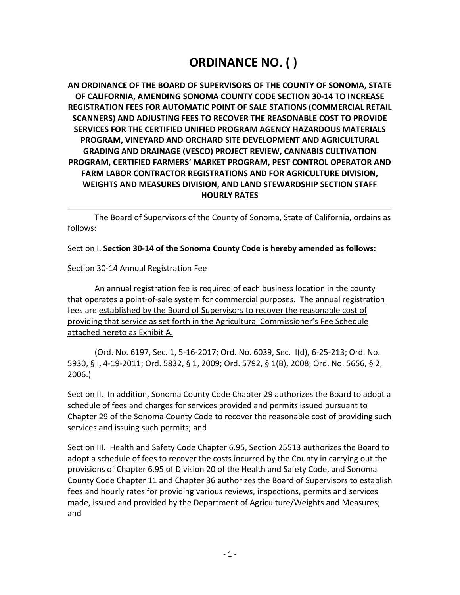# **ORDINANCE NO. ( )**

**AN ORDINANCE OF THE BOARD OF SUPERVISORS OF THE COUNTY OF SONOMA, STATE OF CALIFORNIA, AMENDING SONOMA COUNTY CODE SECTION 30-14 TO INCREASE REGISTRATION FEES FOR AUTOMATIC POINT OF SALE STATIONS (COMMERCIAL RETAIL SCANNERS) AND ADJUSTING FEES TO RECOVER THE REASONABLE COST TO PROVIDE SERVICES FOR THE CERTIFIED UNIFIED PROGRAM AGENCY HAZARDOUS MATERIALS PROGRAM, VINEYARD AND ORCHARD SITE DEVELOPMENT AND AGRICULTURAL GRADING AND DRAINAGE (VESCO) PROJECT REVIEW, CANNABIS CULTIVATION PROGRAM, CERTIFIED FARMERS' MARKET PROGRAM, PEST CONTROL OPERATOR AND FARM LABOR CONTRACTOR REGISTRATIONS AND FOR AGRICULTURE DIVISION, WEIGHTS AND MEASURES DIVISION, AND LAND STEWARDSHIP SECTION STAFF HOURLY RATES**

The Board of Supervisors of the County of Sonoma, State of California, ordains as follows:

Section I. **Section 30-14 of the Sonoma County Code is hereby amended as follows:** 

### Section 30-14 Annual Registration Fee

An annual registration fee is required of each business location in the county that operates a point-of-sale system for commercial purposes. The annual registration fees are established by the Board of Supervisors to recover the reasonable cost of providing that service as set forth in the Agricultural Commissioner's Fee Schedule attached hereto as Exhibit A.

(Ord. No. 6197, Sec. 1, 5-16-2017; Ord. No. 6039, Sec. I(d), 6-25-213; Ord. No. 5930, § I, 4-19-2011; Ord. 5832, § 1, 2009; Ord. 5792, § 1(B), 2008; Ord. No. 5656, § 2, 2006.)

Section II. In addition, Sonoma County Code Chapter 29 authorizes the Board to adopt a schedule of fees and charges for services provided and permits issued pursuant to Chapter 29 of the Sonoma County Code to recover the reasonable cost of providing such services and issuing such permits; and

Section III. Health and Safety Code Chapter 6.95, Section 25513 authorizes the Board to adopt a schedule of fees to recover the costs incurred by the County in carrying out the provisions of Chapter 6.95 of Division 20 of the Health and Safety Code, and Sonoma County Code Chapter 11 and Chapter 36 authorizes the Board of Supervisors to establish fees and hourly rates for providing various reviews, inspections, permits and services made, issued and provided by the Department of Agriculture/Weights and Measures; and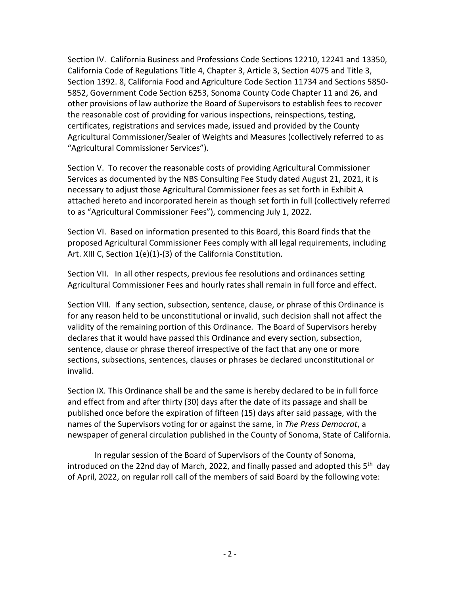Section IV. California Business and Professions Code Sections 12210, 12241 and 13350, California Code of Regulations Title 4, Chapter 3, Article 3, Section 4075 and Title 3, Section 1392. 8, California Food and Agriculture Code Section 11734 and Sections 5850- 5852, Government Code Section 6253, Sonoma County Code Chapter 11 and 26, and other provisions of law authorize the Board of Supervisors to establish fees to recover the reasonable cost of providing for various inspections, reinspections, testing, certificates, registrations and services made, issued and provided by the County Agricultural Commissioner/Sealer of Weights and Measures (collectively referred to as "Agricultural Commissioner Services").

Section V. To recover the reasonable costs of providing Agricultural Commissioner Services as documented by the NBS Consulting Fee Study dated August 21, 2021, it is necessary to adjust those Agricultural Commissioner fees as set forth in Exhibit A attached hereto and incorporated herein as though set forth in full (collectively referred to as "Agricultural Commissioner Fees"), commencing July 1, 2022.

Section VI. Based on information presented to this Board, this Board finds that the proposed Agricultural Commissioner Fees comply with all legal requirements, including Art. XIII C, Section 1(e)(1)-(3) of the California Constitution.

Section VII. In all other respects, previous fee resolutions and ordinances setting Agricultural Commissioner Fees and hourly rates shall remain in full force and effect.

Section VIII. If any section, subsection, sentence, clause, or phrase of this Ordinance is for any reason held to be unconstitutional or invalid, such decision shall not affect the validity of the remaining portion of this Ordinance. The Board of Supervisors hereby declares that it would have passed this Ordinance and every section, subsection, sentence, clause or phrase thereof irrespective of the fact that any one or more sections, subsections, sentences, clauses or phrases be declared unconstitutional or invalid.

Section IX. This Ordinance shall be and the same is hereby declared to be in full force and effect from and after thirty (30) days after the date of its passage and shall be published once before the expiration of fifteen (15) days after said passage, with the names of the Supervisors voting for or against the same, in *The Press Democrat*, a newspaper of general circulation published in the County of Sonoma, State of California.

In regular session of the Board of Supervisors of the County of Sonoma, introduced on the 22nd day of March, 2022, and finally passed and adopted this  $5<sup>th</sup>$  day of April, 2022, on regular roll call of the members of said Board by the following vote: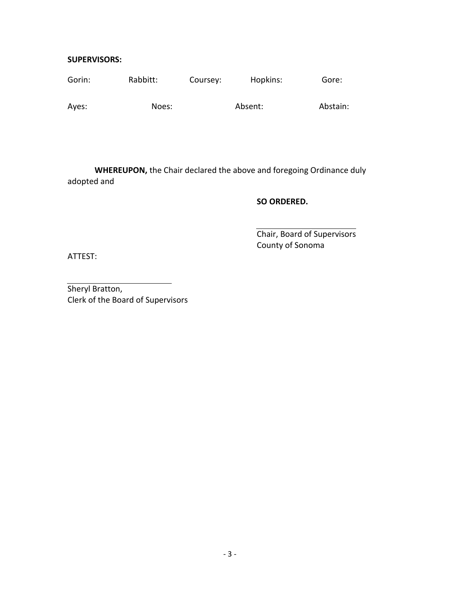#### **SUPERVISORS:**

| Gorin: | Rabbitt: | Coursey: | Hopkins: | Gore:    |
|--------|----------|----------|----------|----------|
| Ayes:  | Noes:    |          | Absent:  | Abstain: |

**WHEREUPON,** the Chair declared the above and foregoing Ordinance duly adopted and

#### **SO ORDERED.**

Chair, Board of Supervisors County of Sonoma

ATTEST:

Sheryl Bratton, Clerk of the Board of Supervisors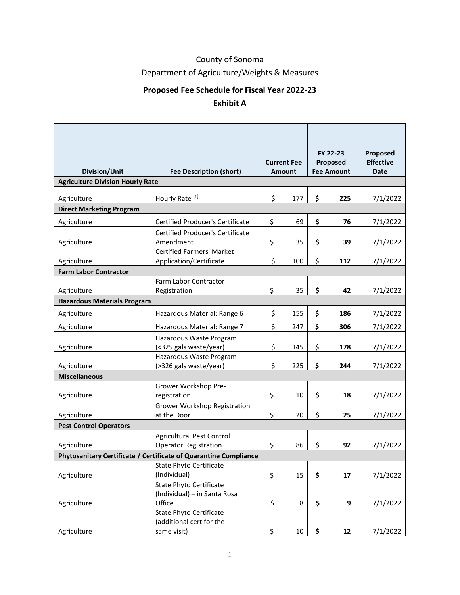# County of Sonoma

Department of Agriculture/Weights & Measures

# **Proposed Fee Schedule for Fiscal Year 2022-23**

## **Exhibit A**

| Division/Unit                                                    | <b>Fee Description (short)</b>                                           |    | <b>Current Fee</b><br><b>Amount</b> |    | FY 22-23<br>Proposed<br><b>Fee Amount</b> | Proposed<br><b>Effective</b><br><b>Date</b> |
|------------------------------------------------------------------|--------------------------------------------------------------------------|----|-------------------------------------|----|-------------------------------------------|---------------------------------------------|
| <b>Agriculture Division Hourly Rate</b>                          |                                                                          |    |                                     |    |                                           |                                             |
| Agriculture                                                      | Hourly Rate <sup>[1]</sup>                                               | \$ | 177                                 | \$ | 225                                       | 7/1/2022                                    |
| <b>Direct Marketing Program</b>                                  |                                                                          |    |                                     |    |                                           |                                             |
| Agriculture                                                      | <b>Certified Producer's Certificate</b>                                  | \$ | 69                                  | \$ | 76                                        | 7/1/2022                                    |
| Agriculture                                                      | <b>Certified Producer's Certificate</b><br>Amendment                     | \$ | 35                                  | \$ | 39                                        | 7/1/2022                                    |
| Agriculture                                                      | <b>Certified Farmers' Market</b><br>Application/Certificate              | \$ | 100                                 | \$ | 112                                       | 7/1/2022                                    |
| <b>Farm Labor Contractor</b>                                     |                                                                          |    |                                     |    |                                           |                                             |
| Agriculture                                                      | Farm Labor Contractor<br>Registration                                    | \$ | 35                                  | \$ | 42                                        | 7/1/2022                                    |
| <b>Hazardous Materials Program</b>                               |                                                                          |    |                                     |    |                                           |                                             |
| Agriculture                                                      | Hazardous Material: Range 6                                              | \$ | 155                                 | \$ | 186                                       | 7/1/2022                                    |
| Agriculture                                                      | Hazardous Material: Range 7                                              | \$ | 247                                 | \$ | 306                                       | 7/1/2022                                    |
| Agriculture                                                      | Hazardous Waste Program<br>(<325 gals waste/year)                        | \$ | 145                                 | \$ | 178                                       | 7/1/2022                                    |
| Agriculture                                                      | Hazardous Waste Program<br>(>326 gals waste/year)                        | \$ | 225                                 | \$ | 244                                       | 7/1/2022                                    |
| <b>Miscellaneous</b>                                             |                                                                          |    |                                     |    |                                           |                                             |
| Agriculture                                                      | Grower Workshop Pre-<br>registration                                     | \$ | 10                                  | \$ | 18                                        | 7/1/2022                                    |
| Agriculture                                                      | Grower Workshop Registration<br>at the Door                              | \$ | 20                                  | \$ | 25                                        | 7/1/2022                                    |
| <b>Pest Control Operators</b>                                    |                                                                          |    |                                     |    |                                           |                                             |
| Agriculture                                                      | <b>Agricultural Pest Control</b><br><b>Operator Registration</b>         | \$ | 86                                  | \$ | 92                                        | 7/1/2022                                    |
| Phytosanitary Certificate / Certificate of Quarantine Compliance |                                                                          |    |                                     |    |                                           |                                             |
| Agriculture                                                      | <b>State Phyto Certificate</b><br>(Individual)                           | \$ | 15                                  | \$ | 17                                        | 7/1/2022                                    |
| Agriculture                                                      | <b>State Phyto Certificate</b><br>(Individual) - in Santa Rosa<br>Office | \$ | 8                                   | \$ | 9                                         | 7/1/2022                                    |
|                                                                  | <b>State Phyto Certificate</b><br>(additional cert for the               |    |                                     |    |                                           |                                             |
| Agriculture                                                      | same visit)                                                              | \$ | $10\,$                              | \$ | 12                                        | 7/1/2022                                    |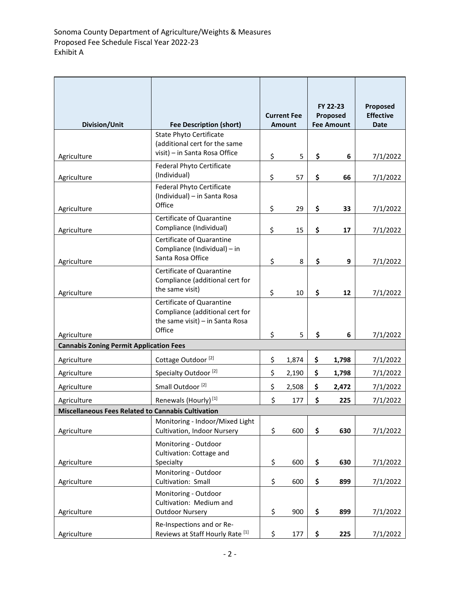| Division/Unit                                                            | <b>Fee Description (short)</b>                                                                              | <b>Current Fee</b><br><b>Amount</b> |                | FY 22-23<br>Proposed<br><b>Fee Amount</b> |                | Proposed<br><b>Effective</b><br><b>Date</b> |
|--------------------------------------------------------------------------|-------------------------------------------------------------------------------------------------------------|-------------------------------------|----------------|-------------------------------------------|----------------|---------------------------------------------|
|                                                                          | <b>State Phyto Certificate</b>                                                                              |                                     |                |                                           |                |                                             |
|                                                                          | (additional cert for the same                                                                               |                                     |                |                                           |                |                                             |
| Agriculture                                                              | visit) - in Santa Rosa Office                                                                               | \$                                  | 5              | \$                                        | 6              | 7/1/2022                                    |
|                                                                          | <b>Federal Phyto Certificate</b>                                                                            |                                     |                |                                           |                |                                             |
| Agriculture                                                              | (Individual)                                                                                                | \$                                  | 57             | \$                                        | 66             | 7/1/2022                                    |
|                                                                          | Federal Phyto Certificate<br>(Individual) - in Santa Rosa<br>Office                                         |                                     |                |                                           |                |                                             |
| Agriculture                                                              |                                                                                                             | \$                                  | 29             | \$                                        | 33             | 7/1/2022                                    |
| Agriculture                                                              | Certificate of Quarantine<br>Compliance (Individual)                                                        | \$                                  | 15             | \$                                        | 17             | 7/1/2022                                    |
|                                                                          | Certificate of Quarantine<br>Compliance (Individual) - in<br>Santa Rosa Office                              |                                     | 8              | \$                                        | 9              | 7/1/2022                                    |
| Agriculture                                                              | Certificate of Quarantine                                                                                   | \$                                  |                |                                           |                |                                             |
|                                                                          | Compliance (additional cert for<br>the same visit)                                                          |                                     |                |                                           |                |                                             |
| Agriculture                                                              |                                                                                                             | \$                                  | 10             | \$                                        | 12             | 7/1/2022                                    |
| Agriculture                                                              | Certificate of Quarantine<br>Compliance (additional cert for<br>the same visit) $-$ in Santa Rosa<br>Office | \$                                  | 5              | \$                                        | 6              | 7/1/2022                                    |
| <b>Cannabis Zoning Permit Application Fees</b>                           |                                                                                                             |                                     |                |                                           |                |                                             |
|                                                                          | Cottage Outdoor <sup>[2]</sup>                                                                              | \$                                  |                |                                           |                |                                             |
| Agriculture<br>Agriculture                                               | Specialty Outdoor <sup>[2]</sup>                                                                            | \$                                  | 1,874<br>2,190 | \$<br>\$                                  | 1,798<br>1,798 | 7/1/2022<br>7/1/2022                        |
| Agriculture                                                              | Small Outdoor <sup>[2]</sup>                                                                                | \$                                  | 2,508          | \$                                        | 2,472          | 7/1/2022                                    |
|                                                                          | Renewals (Hourly) <sup>[1]</sup>                                                                            | \$                                  | 177            | \$                                        | 225            | 7/1/2022                                    |
| Agriculture<br><b>Miscellaneous Fees Related to Cannabis Cultivation</b> |                                                                                                             |                                     |                |                                           |                |                                             |
|                                                                          | Monitoring - Indoor/Mixed Light                                                                             |                                     |                |                                           |                |                                             |
| Agriculture                                                              | Cultivation, Indoor Nursery                                                                                 | \$                                  | 600            | \$                                        | 630            | 7/1/2022                                    |
| Agriculture                                                              | Monitoring - Outdoor<br>Cultivation: Cottage and<br>Specialty                                               | \$                                  | 600            | \$                                        | 630            | 7/1/2022                                    |
|                                                                          | Monitoring - Outdoor                                                                                        |                                     |                |                                           |                |                                             |
| Agriculture                                                              | Cultivation: Small                                                                                          | \$                                  | 600            | \$                                        | 899            | 7/1/2022                                    |
| Agriculture                                                              | Monitoring - Outdoor<br>Cultivation: Medium and<br><b>Outdoor Nursery</b>                                   | \$                                  | 900            | \$                                        | 899            | 7/1/2022                                    |
|                                                                          |                                                                                                             |                                     |                |                                           |                |                                             |
| Agriculture                                                              | Re-Inspections and or Re-<br>Reviews at Staff Hourly Rate [1]                                               | \$                                  | 177            | \$                                        | 225            | 7/1/2022                                    |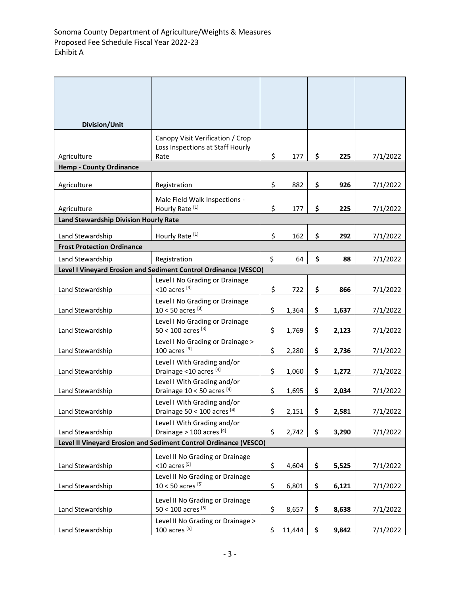| Division/Unit                                                    |                                                                      |    |        |    |       |          |  |
|------------------------------------------------------------------|----------------------------------------------------------------------|----|--------|----|-------|----------|--|
|                                                                  | Canopy Visit Verification / Crop<br>Loss Inspections at Staff Hourly |    |        |    |       |          |  |
| Agriculture                                                      | Rate                                                                 | \$ | 177    | \$ | 225   | 7/1/2022 |  |
| <b>Hemp - County Ordinance</b>                                   |                                                                      |    |        |    |       |          |  |
| Agriculture                                                      | Registration                                                         | \$ | 882    | \$ | 926   | 7/1/2022 |  |
| Agriculture                                                      | Male Field Walk Inspections -<br>Hourly Rate <sup>[1]</sup>          | \$ | 177    | \$ | 225   | 7/1/2022 |  |
| Land Stewardship Division Hourly Rate                            |                                                                      |    |        |    |       |          |  |
| Land Stewardship                                                 | Hourly Rate <sup>[1]</sup>                                           | \$ | 162    | \$ | 292   | 7/1/2022 |  |
| <b>Frost Protection Ordinance</b>                                |                                                                      |    |        |    |       |          |  |
| Land Stewardship                                                 | Registration                                                         | \$ | 64     | \$ | 88    | 7/1/2022 |  |
|                                                                  | Level I Vineyard Erosion and Sediment Control Ordinance (VESCO)      |    |        |    |       |          |  |
| Land Stewardship                                                 | Level I No Grading or Drainage<br>$<$ 10 acres [3]                   | \$ | 722    | \$ | 866   | 7/1/2022 |  |
| Land Stewardship                                                 | Level I No Grading or Drainage<br>$10 < 50$ acres [3]                | \$ | 1,364  | \$ | 1,637 | 7/1/2022 |  |
| Land Stewardship                                                 | Level I No Grading or Drainage<br>50 < 100 acres [3]                 | \$ | 1,769  | \$ | 2,123 | 7/1/2022 |  |
| Land Stewardship                                                 | Level I No Grading or Drainage ><br>$100$ acres $^{[3]}$             | \$ | 2,280  | \$ | 2,736 | 7/1/2022 |  |
| Land Stewardship                                                 | Level I With Grading and/or<br>Drainage <10 acres [4]                | \$ | 1,060  | \$ | 1,272 | 7/1/2022 |  |
| Land Stewardship                                                 | Level I With Grading and/or<br>Drainage 10 < 50 acres [4]            | \$ | 1,695  | \$ | 2,034 | 7/1/2022 |  |
| Land Stewardship                                                 | Level I With Grading and/or<br>Drainage 50 < 100 acres [4]           | \$ | 2,151  | \$ | 2,581 | 7/1/2022 |  |
| Land Stewardship                                                 | Level I With Grading and/or<br>Drainage > 100 acres [4]              | \$ | 2,742  | \$ | 3,290 | 7/1/2022 |  |
| Level II Vineyard Erosion and Sediment Control Ordinance (VESCO) |                                                                      |    |        |    |       |          |  |
| Land Stewardship                                                 | Level II No Grading or Drainage<br>$<$ 10 acres [5]                  | \$ | 4,604  | \$ | 5,525 | 7/1/2022 |  |
| Land Stewardship                                                 | Level II No Grading or Drainage<br>$10 < 50$ acres [5]               | \$ | 6,801  | \$ | 6,121 | 7/1/2022 |  |
| Land Stewardship                                                 | Level II No Grading or Drainage<br>50 < 100 acres [5]                | \$ | 8,657  | \$ | 8,638 | 7/1/2022 |  |
| Land Stewardship                                                 | Level II No Grading or Drainage ><br>100 acres [5]                   | \$ | 11,444 | \$ | 9,842 | 7/1/2022 |  |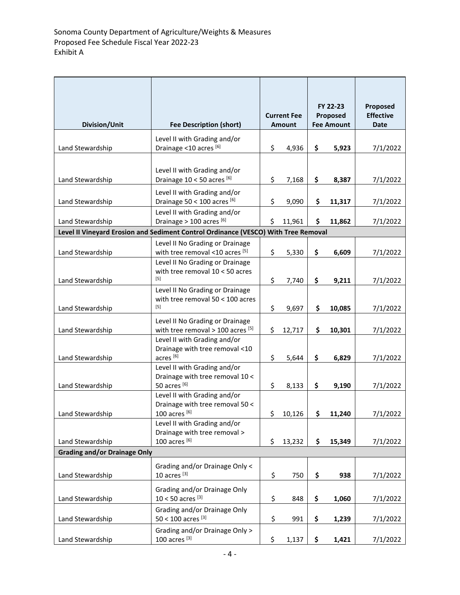| <b>Division/Unit</b>                | <b>Fee Description (short)</b>                                                         | <b>Current Fee</b><br><b>Amount</b> |        | FY 22-23<br>Proposed<br><b>Fee Amount</b> |        | Proposed<br><b>Effective</b><br><b>Date</b> |
|-------------------------------------|----------------------------------------------------------------------------------------|-------------------------------------|--------|-------------------------------------------|--------|---------------------------------------------|
|                                     | Level II with Grading and/or                                                           |                                     |        |                                           |        |                                             |
| Land Stewardship                    | Drainage <10 acres [6]                                                                 | \$                                  | 4,936  | \$                                        | 5,923  | 7/1/2022                                    |
| Land Stewardship                    | Level II with Grading and/or<br>Drainage 10 < 50 acres [6]                             | \$                                  | 7,168  | \$                                        | 8,387  | 7/1/2022                                    |
|                                     | Level II with Grading and/or                                                           | \$                                  |        |                                           |        |                                             |
| Land Stewardship                    | Drainage 50 < 100 acres [6]<br>Level II with Grading and/or                            |                                     | 9,090  | \$                                        | 11,317 | 7/1/2022                                    |
| Land Stewardship                    | Drainage > 100 acres [6]                                                               | \$                                  | 11,961 | \$                                        | 11,862 | 7/1/2022                                    |
|                                     | Level II Vineyard Erosion and Sediment Control Ordinance (VESCO) With Tree Removal     |                                     |        |                                           |        |                                             |
| Land Stewardship                    | Level II No Grading or Drainage<br>with tree removal <10 acres [5]                     | \$                                  | 5,330  | \$                                        | 6,609  | 7/1/2022                                    |
|                                     | Level II No Grading or Drainage<br>with tree removal $10 < 50$ acres<br>$[5]$          | \$                                  |        | \$                                        |        |                                             |
| Land Stewardship                    | Level II No Grading or Drainage                                                        |                                     | 7,740  |                                           | 9,211  | 7/1/2022                                    |
| Land Stewardship                    | with tree removal $50 < 100$ acres<br>$[5]$                                            | \$                                  | 9,697  | \$                                        | 10,085 | 7/1/2022                                    |
| Land Stewardship                    | Level II No Grading or Drainage<br>with tree removal $>$ 100 acres $^{[5]}$            | \$                                  | 12,717 | \$                                        | 10,301 | 7/1/2022                                    |
| Land Stewardship                    | Level II with Grading and/or<br>Drainage with tree removal <10<br>acres <sup>[6]</sup> | \$                                  | 5,644  | \$                                        | 6,829  | 7/1/2022                                    |
| Land Stewardship                    | Level II with Grading and/or<br>Drainage with tree removal 10 <<br>50 acres [6]        | \$                                  | 8,133  | \$                                        | 9,190  | 7/1/2022                                    |
| Land Stewardship                    | Level II with Grading and/or<br>Drainage with tree removal 50 <<br>100 acres $^{[6]}$  | \$                                  | 10,126 | \$                                        | 11,240 | 7/1/2022                                    |
|                                     | Level II with Grading and/or<br>Drainage with tree removal >                           |                                     |        |                                           |        |                                             |
| Land Stewardship                    | 100 acres $^{[6]}$                                                                     | \$                                  | 13,232 | \$                                        | 15,349 | 7/1/2022                                    |
| <b>Grading and/or Drainage Only</b> |                                                                                        |                                     |        |                                           |        |                                             |
| Land Stewardship                    | Grading and/or Drainage Only <<br>10 acres <sup>[3]</sup>                              | \$                                  | 750    | \$                                        | 938    | 7/1/2022                                    |
| Land Stewardship                    | Grading and/or Drainage Only<br>$10 < 50$ acres [3]                                    | \$                                  | 848    | \$                                        | 1,060  | 7/1/2022                                    |
| Land Stewardship                    | Grading and/or Drainage Only<br>50 < 100 acres [3]                                     | \$                                  | 991    | \$                                        | 1,239  | 7/1/2022                                    |
| Land Stewardship                    | Grading and/or Drainage Only ><br>$100$ acres $^{[3]}$                                 | \$                                  | 1,137  | \$                                        | 1,421  | 7/1/2022                                    |